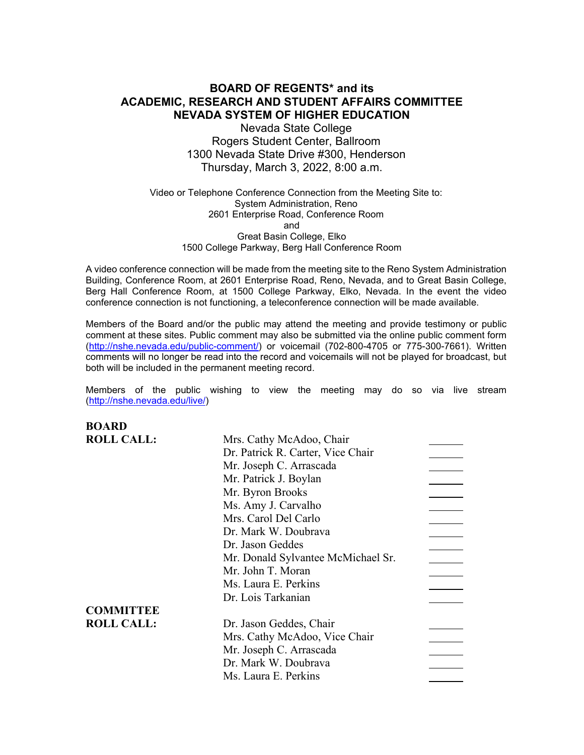# **BOARD OF REGENTS\* and its ACADEMIC, RESEARCH AND STUDENT AFFAIRS COMMITTEE NEVADA SYSTEM OF HIGHER EDUCATION**

Nevada State College Rogers Student Center, Ballroom 1300 Nevada State Drive #300, Henderson Thursday, March 3, 2022, 8:00 a.m.

Video or Telephone Conference Connection from the Meeting Site to: System Administration, Reno 2601 Enterprise Road, Conference Room and Great Basin College, Elko 1500 College Parkway, Berg Hall Conference Room

A video conference connection will be made from the meeting site to the Reno System Administration Building, Conference Room, at 2601 Enterprise Road, Reno, Nevada, and to Great Basin College, Berg Hall Conference Room, at 1500 College Parkway, Elko, Nevada. In the event the video conference connection is not functioning, a teleconference connection will be made available.

Members of the Board and/or the public may attend the meeting and provide testimony or public comment at these sites. Public comment may also be submitted via the online public comment form [\(http://nshe.nevada.edu/public-comment/\)](http://nshe.nevada.edu/public-comment/) or voicemail (702-800-4705 or 775-300-7661). Written comments will no longer be read into the record and voicemails will not be played for broadcast, but both will be included in the permanent meeting record.

Members of the public wishing to view the meeting may do so via live stream [\(http://nshe.nevada.edu/live/\)](http://nshe.nevada.edu/live/)

**BOARD ROLL CALL:** Mrs. Cathy McAdoo, Chair Dr. Patrick R. Carter, Vice Chair Mr. Joseph C. Arrascada Mr. Patrick J. Boylan Mr. Byron Brooks Ms. Amy J. Carvalho Mrs. Carol Del Carlo Dr. Mark W. Doubrava Dr. Jason Geddes Mr. Donald Sylvantee McMichael Sr. Mr. John T. Moran Ms. Laura E. Perkins Dr. Lois Tarkanian **COMMITTEE ROLL CALL:** Dr. Jason Geddes, Chair Mrs. Cathy McAdoo, Vice Chair Mr. Joseph C. Arrascada Dr. Mark W. Doubrava Ms. Laura E. Perkins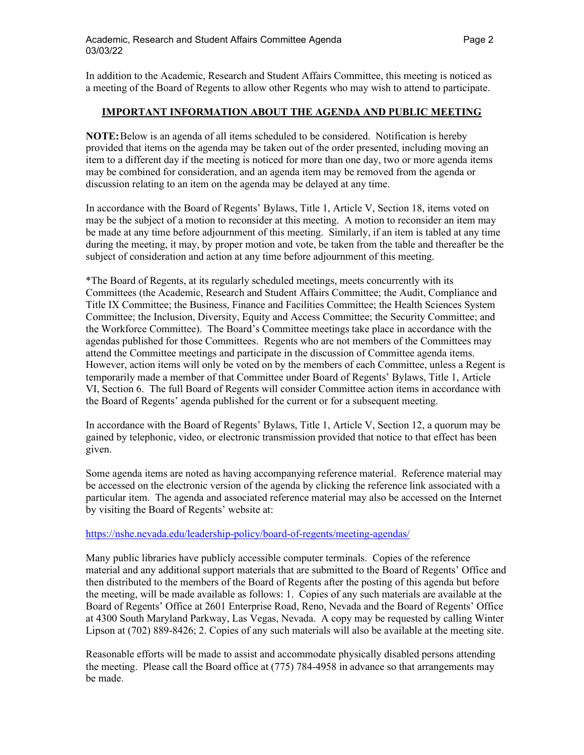In addition to the Academic, Research and Student Affairs Committee, this meeting is noticed as a meeting of the Board of Regents to allow other Regents who may wish to attend to participate.

### **IMPORTANT INFORMATION ABOUT THE AGENDA AND PUBLIC MEETING**

**NOTE:**Below is an agenda of all items scheduled to be considered. Notification is hereby provided that items on the agenda may be taken out of the order presented, including moving an item to a different day if the meeting is noticed for more than one day, two or more agenda items may be combined for consideration, and an agenda item may be removed from the agenda or discussion relating to an item on the agenda may be delayed at any time.

In accordance with the Board of Regents' Bylaws, Title 1, Article V, Section 18, items voted on may be the subject of a motion to reconsider at this meeting. A motion to reconsider an item may be made at any time before adjournment of this meeting. Similarly, if an item is tabled at any time during the meeting, it may, by proper motion and vote, be taken from the table and thereafter be the subject of consideration and action at any time before adjournment of this meeting.

\*The Board of Regents, at its regularly scheduled meetings, meets concurrently with its Committees (the Academic, Research and Student Affairs Committee; the Audit, Compliance and Title IX Committee; the Business, Finance and Facilities Committee; the Health Sciences System Committee; the Inclusion, Diversity, Equity and Access Committee; the Security Committee; and the Workforce Committee). The Board's Committee meetings take place in accordance with the agendas published for those Committees. Regents who are not members of the Committees may attend the Committee meetings and participate in the discussion of Committee agenda items. However, action items will only be voted on by the members of each Committee, unless a Regent is temporarily made a member of that Committee under Board of Regents' Bylaws, Title 1, Article VI, Section 6. The full Board of Regents will consider Committee action items in accordance with the Board of Regents' agenda published for the current or for a subsequent meeting.

In accordance with the Board of Regents' Bylaws, Title 1, Article V, Section 12, a quorum may be gained by telephonic, video, or electronic transmission provided that notice to that effect has been given.

Some agenda items are noted as having accompanying reference material. Reference material may be accessed on the electronic version of the agenda by clicking the reference link associated with a particular item. The agenda and associated reference material may also be accessed on the Internet by visiting the Board of Regents' website at:

### <https://nshe.nevada.edu/leadership-policy/board-of-regents/meeting-agendas/>

Many public libraries have publicly accessible computer terminals. Copies of the reference material and any additional support materials that are submitted to the Board of Regents' Office and then distributed to the members of the Board of Regents after the posting of this agenda but before the meeting, will be made available as follows: 1. Copies of any such materials are available at the Board of Regents' Office at 2601 Enterprise Road, Reno, Nevada and the Board of Regents' Office at 4300 South Maryland Parkway, Las Vegas, Nevada. A copy may be requested by calling Winter Lipson at (702) 889-8426; 2. Copies of any such materials will also be available at the meeting site.

Reasonable efforts will be made to assist and accommodate physically disabled persons attending the meeting. Please call the Board office at (775) 784-4958 in advance so that arrangements may be made.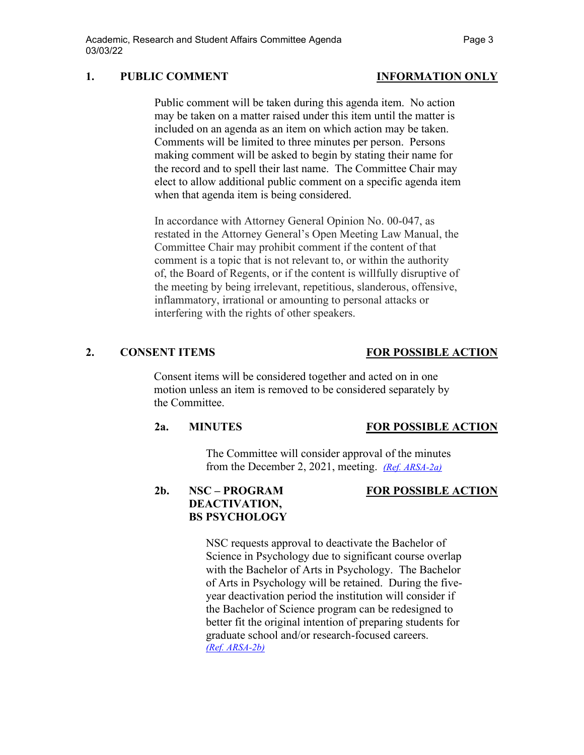## **1. PUBLIC COMMENT INFORMATION ONLY**

Public comment will be taken during this agenda item. No action may be taken on a matter raised under this item until the matter is included on an agenda as an item on which action may be taken. Comments will be limited to three minutes per person. Persons making comment will be asked to begin by stating their name for the record and to spell their last name. The Committee Chair may elect to allow additional public comment on a specific agenda item when that agenda item is being considered.

In accordance with Attorney General Opinion No. 00-047, as restated in the Attorney General's Open Meeting Law Manual, the Committee Chair may prohibit comment if the content of that comment is a topic that is not relevant to, or within the authority of, the Board of Regents, or if the content is willfully disruptive of the meeting by being irrelevant, repetitious, slanderous, offensive, inflammatory, irrational or amounting to personal attacks or interfering with the rights of other speakers.

Consent items will be considered together and acted on in one motion unless an item is removed to be considered separately by the Committee.

### **2a. MINUTES FOR POSSIBLE ACTION**

The Committee will consider approval of the minutes from the December 2, 2021, meeting. *[\(Ref. ARSA-2a\)](https://nshe.nevada.edu/wp-content/uploads/file/BoardOfRegents/Agendas/2022/03-mar-mtgs/arsa-refs/ARSA-2a.pdf)*

### **2b. NSC – PROGRAM FOR POSSIBLE ACTION DEACTIVATION, BS PSYCHOLOGY**

NSC requests approval to deactivate the Bachelor of Science in Psychology due to significant course overlap with the Bachelor of Arts in Psychology. The Bachelor of Arts in Psychology will be retained. During the fiveyear deactivation period the institution will consider if the Bachelor of Science program can be redesigned to better fit the original intention of preparing students for graduate school and/or research-focused careers. *[\(Ref. ARSA-2b\)](https://nshe.nevada.edu/wp-content/uploads/file/BoardOfRegents/Agendas/2022/03-mar-mtgs/arsa-refs/ARSA-2b.pdf)*

**2. CONSENT ITEMS FOR POSSIBLE ACTION**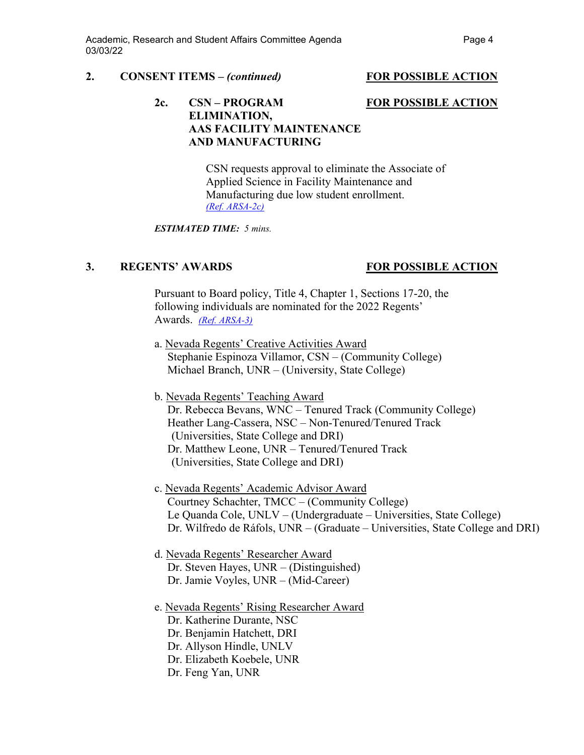### **2. CONSENT ITEMS –** *(continued)* **FOR POSSIBLE ACTION**

### **2c. CSN – PROGRAM FOR POSSIBLE ACTION ELIMINATION, AAS FACILITY MAINTENANCE AND MANUFACTURING**

CSN requests approval to eliminate the Associate of Applied Science in Facility Maintenance and Manufacturing due low student enrollment. *[\(Ref. ARSA-2c\)](https://nshe.nevada.edu/wp-content/uploads/file/BoardOfRegents/Agendas/2022/03-mar-mtgs/arsa-refs/ARSA-2c.pdf)*

*ESTIMATED TIME: 5 mins.*

# **3. REGENTS' AWARDS FOR POSSIBLE ACTION**

Pursuant to Board policy, Title 4, Chapter 1, Sections 17-20, the following individuals are nominated for the 2022 Regents' Awards. *(Ref. [ARSA-3\)](https://nshe.nevada.edu/wp-content/uploads/file/BoardOfRegents/Agendas/2022/03-mar-mtgs/arsa-refs/ARSA-3.pdf)*

- a. Nevada Regents' Creative Activities Award Stephanie Espinoza Villamor, CSN – (Community College) Michael Branch, UNR – (University, State College)
- b. Nevada Regents' Teaching Award Dr. Rebecca Bevans, WNC – Tenured Track (Community College) Heather Lang-Cassera, NSC – Non-Tenured/Tenured Track (Universities, State College and DRI) Dr. Matthew Leone, UNR – Tenured/Tenured Track (Universities, State College and DRI)
- c. Nevada Regents' Academic Advisor Award Courtney Schachter, TMCC – (Community College) Le Quanda Cole, UNLV – (Undergraduate – Universities, State College) Dr. Wilfredo de Ráfols, UNR – (Graduate – Universities, State College and DRI)
- d. Nevada Regents' Researcher Award Dr. Steven Hayes, UNR – (Distinguished) Dr. Jamie Voyles, UNR – (Mid-Career)
- e. Nevada Regents' Rising Researcher Award Dr. Katherine Durante, NSC Dr. Benjamin Hatchett, DRI Dr. Allyson Hindle, UNLV Dr. Elizabeth Koebele, UNR Dr. Feng Yan, UNR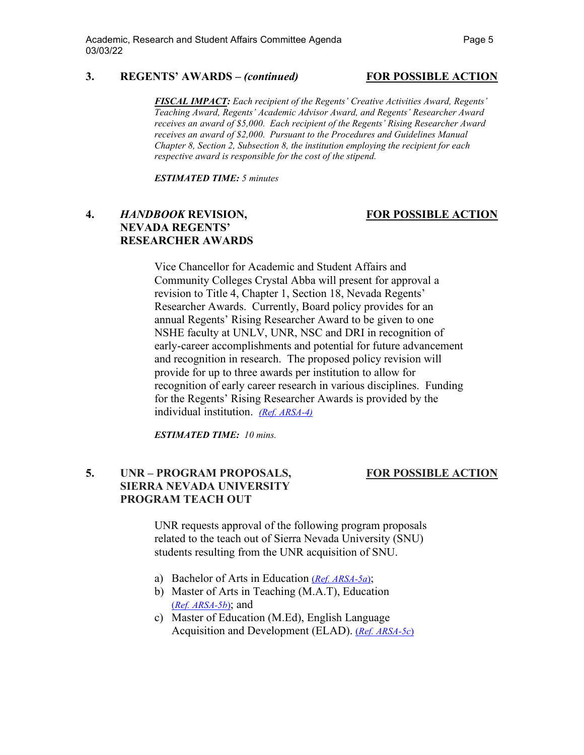### **3. REGENTS' AWARDS –** *(continued)* **FOR POSSIBLE ACTION**

*FISCAL IMPACT: Each recipient of the Regents' Creative Activities Award, Regents' Teaching Award, Regents' Academic Advisor Award, and Regents' Researcher Award receives an award of \$5,000. Each recipient of the Regents' Rising Researcher Award receives an award of \$2,000. Pursuant to the Procedures and Guidelines Manual Chapter 8, Section 2, Subsection 8, the institution employing the recipient for each respective award is responsible for the cost of the stipend.*

*ESTIMATED TIME: 5 minutes*

## **4.** *HANDBOOK* **REVISION, FOR POSSIBLE ACTION NEVADA REGENTS' RESEARCHER AWARDS**

Vice Chancellor for Academic and Student Affairs and Community Colleges Crystal Abba will present for approval a revision to Title 4, Chapter 1, Section 18, Nevada Regents' Researcher Awards. Currently, Board policy provides for an annual Regents' Rising Researcher Award to be given to one NSHE faculty at UNLV, UNR, NSC and DRI in recognition of early-career accomplishments and potential for future advancement and recognition in research. The proposed policy revision will provide for up to three awards per institution to allow for recognition of early career research in various disciplines. Funding for the Regents' Rising Researcher Awards is provided by the individual institution. *[\(Ref. ARSA-4\)](https://nshe.nevada.edu/wp-content/uploads/file/BoardOfRegents/Agendas/2022/03-mar-mtgs/arsa-refs/ARSA-4.pdf)*

*ESTIMATED TIME: 10 mins.*

# **5. UNR – PROGRAM PROPOSALS, FOR POSSIBLE ACTION SIERRA NEVADA UNIVERSITY PROGRAM TEACH OUT**

UNR requests approval of the following program proposals related to the teach out of Sierra Nevada University (SNU) students resulting from the UNR acquisition of SNU.

- a) Bachelor of Arts in Education (*[Ref. ARSA-5a](https://nshe.nevada.edu/wp-content/uploads/file/BoardOfRegents/Agendas/2022/03-mar-mtgs/arsa-refs/ARSA-5a.pdf)*);
- b) Master of Arts in Teaching (M.A.T), Education (*[Ref. ARSA-5b](https://nshe.nevada.edu/wp-content/uploads/file/BoardOfRegents/Agendas/2022/03-mar-mtgs/arsa-refs/ARSA-5b.pdf)*); and
- c) Master of Education (M.Ed), English Language Acquisition and Development (ELAD). (*[Ref. ARSA-5c](https://nshe.nevada.edu/wp-content/uploads/file/BoardOfRegents/Agendas/2022/03-mar-mtgs/arsa-refs/ARSA-5c.pdf)*)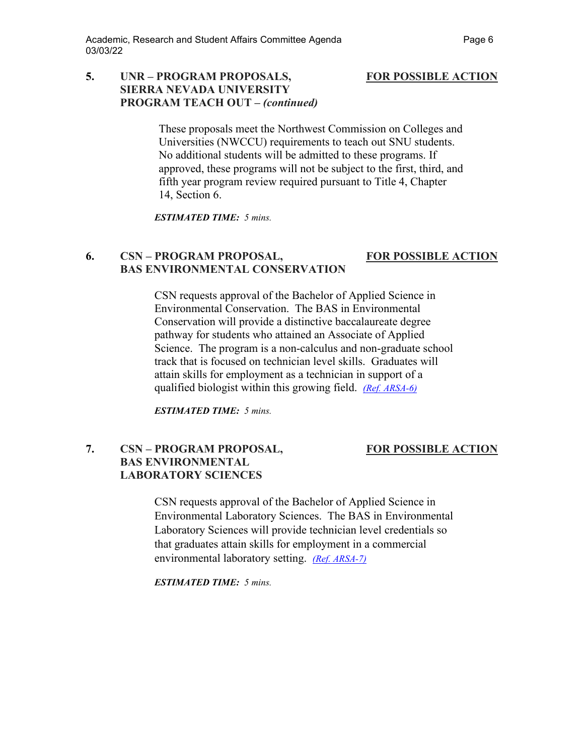## **5. UNR – PROGRAM PROPOSALS, FOR POSSIBLE ACTION SIERRA NEVADA UNIVERSITY PROGRAM TEACH OUT –** *(continued)*

These proposals meet the Northwest Commission on Colleges and Universities (NWCCU) requirements to teach out SNU students. No additional students will be admitted to these programs. If approved, these programs will not be subject to the first, third, and fifth year program review required pursuant to Title 4, Chapter 14, Section 6.

*ESTIMATED TIME: 5 mins.*

# **6. CSN – PROGRAM PROPOSAL, FOR POSSIBLE ACTION BAS ENVIRONMENTAL CONSERVATION**

CSN requests approval of the Bachelor of Applied Science in Environmental Conservation. The BAS in Environmental Conservation will provide a distinctive baccalaureate degree pathway for students who attained an Associate of Applied Science. The program is a non-calculus and non-graduate school track that is focused on technician level skills. Graduates will attain skills for employment as a technician in support of a qualified biologist within this growing field. *[\(Ref. ARSA-6\)](https://nshe.nevada.edu/wp-content/uploads/file/BoardOfRegents/Agendas/2022/03-mar-mtgs/arsa-refs/ARSA-6.pdf)*

*ESTIMATED TIME: 5 mins.*

# **7. CSN – PROGRAM PROPOSAL, FOR POSSIBLE ACTION BAS ENVIRONMENTAL LABORATORY SCIENCES**

CSN requests approval of the Bachelor of Applied Science in Environmental Laboratory Sciences. The BAS in Environmental Laboratory Sciences will provide technician level credentials so that graduates attain skills for employment in a commercial environmental laboratory setting. *[\(Ref. ARSA-7\)](https://nshe.nevada.edu/wp-content/uploads/file/BoardOfRegents/Agendas/2022/03-mar-mtgs/arsa-refs/ARSA-7.pdf)*

*ESTIMATED TIME: 5 mins.*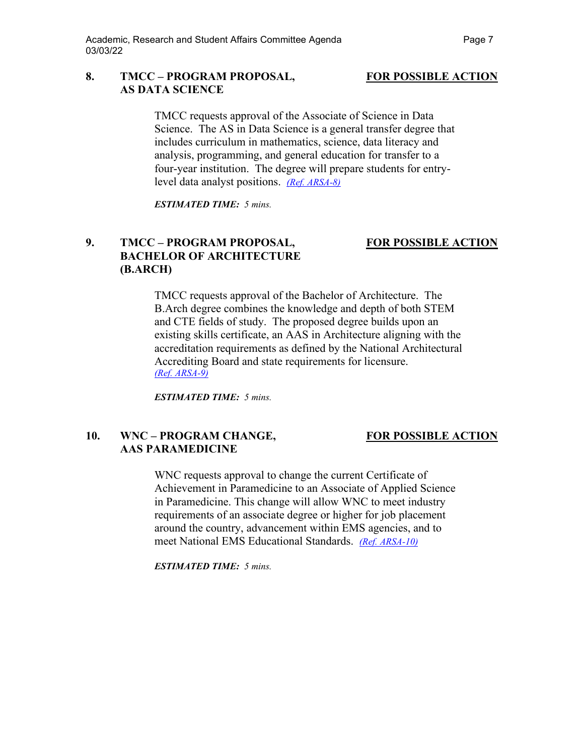## 8. **TMCC – PROGRAM PROPOSAL, FOR POSSIBLE ACTION AS DATA SCIENCE**

TMCC requests approval of the Associate of Science in Data Science. The AS in Data Science is a general transfer degree that includes curriculum in mathematics, science, data literacy and analysis, programming, and general education for transfer to a four-year institution. The degree will prepare students for entrylevel data analyst positions. *[\(Ref. ARSA-8\)](https://nshe.nevada.edu/wp-content/uploads/file/BoardOfRegents/Agendas/2022/03-mar-mtgs/arsa-refs/ARSA-8.pdf)*

*ESTIMATED TIME: 5 mins.*

# **9. TMCC – PROGRAM PROPOSAL, FOR POSSIBLE ACTION BACHELOR OF ARCHITECTURE (B.ARCH)**

## TMCC requests approval of the Bachelor of Architecture. The B.Arch degree combines the knowledge and depth of both STEM and CTE fields of study. The proposed degree builds upon an existing skills certificate, an AAS in Architecture aligning with the accreditation requirements as defined by the National Architectural Accrediting Board and state requirements for licensure. *[\(Ref. ARSA-9\)](https://nshe.nevada.edu/wp-content/uploads/file/BoardOfRegents/Agendas/2022/03-mar-mtgs/arsa-refs/ARSA-9.pdf)*

*ESTIMATED TIME: 5 mins.*

# **10. WNC – PROGRAM CHANGE, FOR POSSIBLE ACTION AAS PARAMEDICINE**

WNC requests approval to change the current Certificate of Achievement in Paramedicine to an Associate of Applied Science in Paramedicine. This change will allow WNC to meet industry requirements of an associate degree or higher for job placement around the country, advancement within EMS agencies, and to meet National EMS Educational Standards. *[\(Ref. ARSA-10\)](https://nshe.nevada.edu/wp-content/uploads/file/BoardOfRegents/Agendas/2022/03-mar-mtgs/arsa-refs/ARSA-10.pdf)*

*ESTIMATED TIME: 5 mins.*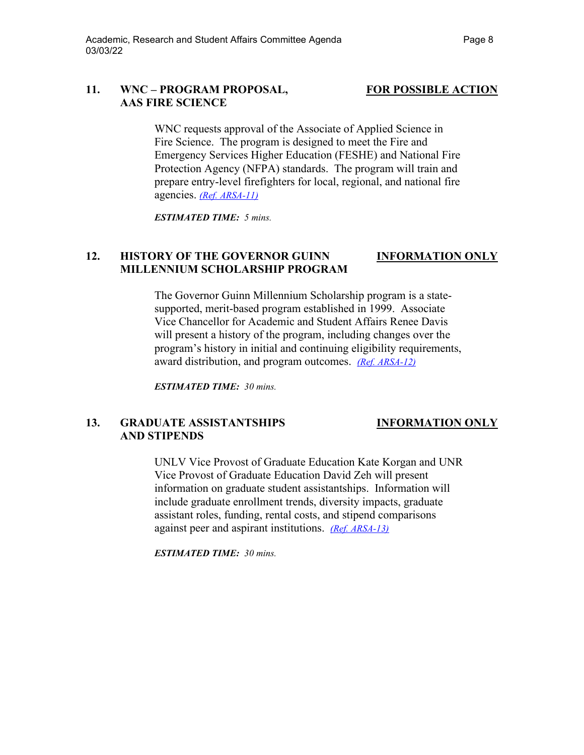## **11. WNC – PROGRAM PROPOSAL, FOR POSSIBLE ACTION AAS FIRE SCIENCE**

WNC requests approval of the Associate of Applied Science in Fire Science. The program is designed to meet the Fire and Emergency Services Higher Education (FESHE) and National Fire Protection Agency (NFPA) standards. The program will train and prepare entry-level firefighters for local, regional, and national fire agencies. *[\(Ref. ARSA-11\)](https://nshe.nevada.edu/wp-content/uploads/file/BoardOfRegents/Agendas/2022/03-mar-mtgs/arsa-refs/ARSA-11.pdf)*

*ESTIMATED TIME: 5 mins.*

# **12. HISTORY OF THE GOVERNOR GUINN INFORMATION ONLY MILLENNIUM SCHOLARSHIP PROGRAM**

The Governor Guinn Millennium Scholarship program is a statesupported, merit-based program established in 1999. Associate Vice Chancellor for Academic and Student Affairs Renee Davis will present a history of the program, including changes over the program's history in initial and continuing eligibility requirements, award distribution, and program outcomes. *[\(Ref. ARSA-12\)](https://nshe.nevada.edu/wp-content/uploads/file/BoardOfRegents/Agendas/2022/03-mar-mtgs/arsa-refs/ARSA-12.pdf)*

*ESTIMATED TIME: 30 mins.*

# **13. GRADUATE ASSISTANTSHIPS INFORMATION ONLY AND STIPENDS**

UNLV Vice Provost of Graduate Education Kate Korgan and UNR Vice Provost of Graduate Education David Zeh will present information on graduate student assistantships. Information will include graduate enrollment trends, diversity impacts, graduate assistant roles, funding, rental costs, and stipend comparisons against peer and aspirant institutions. *[\(Ref. ARSA-13\)](https://nshe.nevada.edu/wp-content/uploads/file/BoardOfRegents/Agendas/2022/03-mar-mtgs/arsa-refs/ARSA-13.pdf)*

*ESTIMATED TIME: 30 mins.*